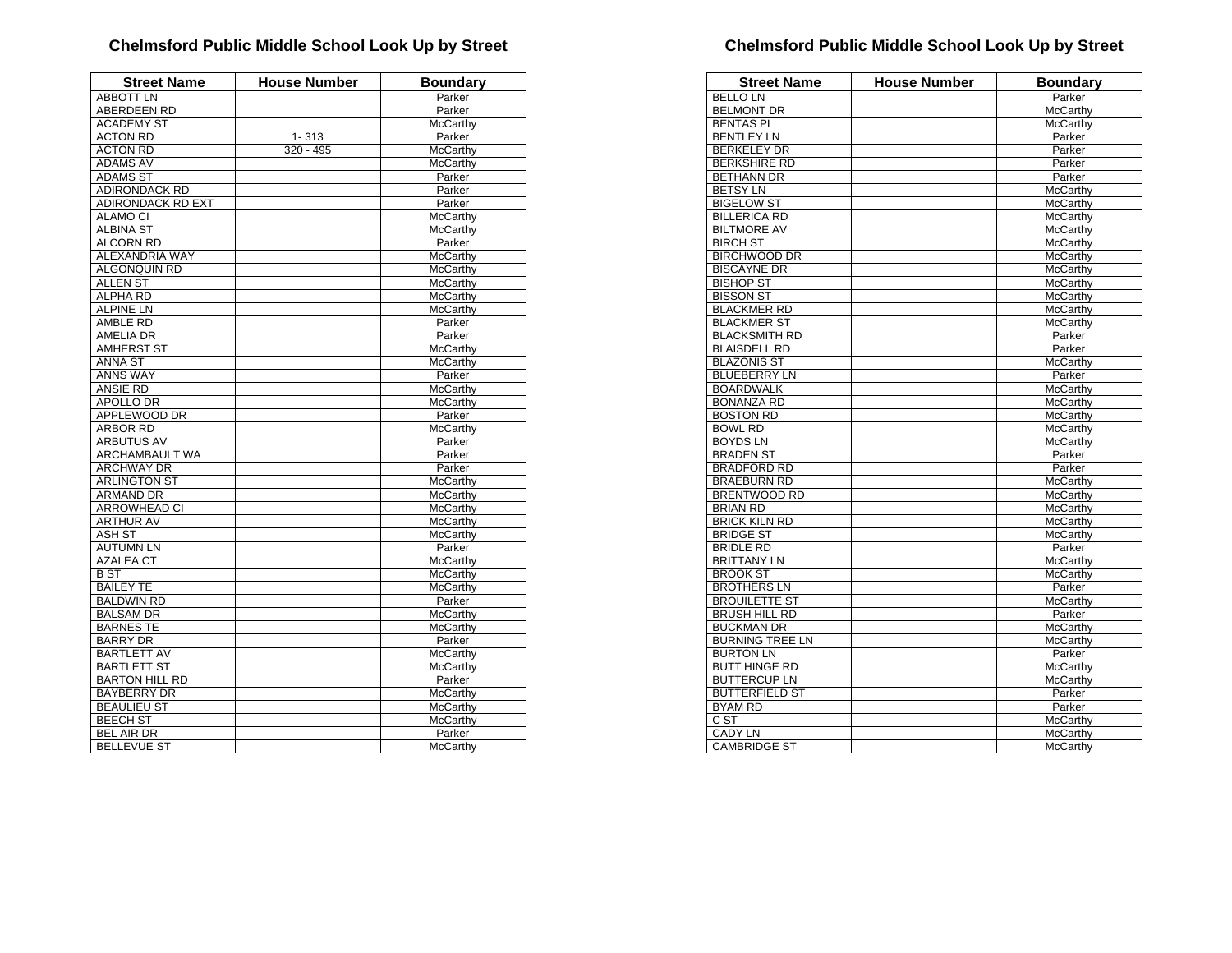| <b>Street Name</b>       | <b>House Number</b> | <b>Boundary</b> |
|--------------------------|---------------------|-----------------|
| <b>ABBOTT LN</b>         |                     | Parker          |
| <b>ABERDEEN RD</b>       |                     | Parker          |
| <b>ACADEMY ST</b>        |                     | McCarthy        |
| <b>ACTON RD</b>          | $1 - 313$           | Parker          |
| <b>ACTON RD</b>          | 320 - 495           | McCarthy        |
| <b>ADAMS AV</b>          |                     | <b>McCarthy</b> |
| <b>ADAMS ST</b>          |                     | Parker          |
| <b>ADIRONDACK RD</b>     |                     | Parker          |
| <b>ADIRONDACK RD EXT</b> |                     | Parker          |
| <b>ALAMO CI</b>          |                     | McCarthy        |
| <b>ALBINA ST</b>         |                     | McCarthy        |
| <b>ALCORN RD</b>         |                     | Parker          |
| ALEXANDRIA WAY           |                     | McCarthy        |
| ALGONQUIN RD             |                     | <b>McCarthy</b> |
| <b>ALLEN ST</b>          |                     | <b>McCarthy</b> |
| <b>ALPHA RD</b>          |                     | McCarthy        |
| <b>ALPINE LN</b>         |                     | McCarthy        |
| AMBLE RD                 |                     | Parker          |
| AMELIA DR                |                     | Parker          |
| <b>AMHERST ST</b>        |                     | McCarthy        |
| <b>ANNA ST</b>           |                     | McCarthy        |
| <b>ANNS WAY</b>          |                     | Parker          |
| <b>ANSIE RD</b>          |                     | McCarthy        |
| <b>APOLLO DR</b>         |                     | McCarthy        |
| <b>APPLEWOOD DR</b>      |                     | Parker          |
| <b>ARBOR RD</b>          |                     | McCarthy        |
| <b>ARBUTUS AV</b>        |                     | Parker          |
| <b>ARCHAMBAULT WA</b>    |                     | Parker          |
| <b>ARCHWAY DR</b>        |                     | Parker          |
| <b>ARLINGTON ST</b>      |                     | <b>McCarthy</b> |
| <b>ARMAND DR</b>         |                     | <b>McCarthy</b> |
| <b>ARROWHEAD CI</b>      |                     | McCarthy        |
| <b>ARTHUR AV</b>         |                     | McCarthy        |
| ASH ST                   |                     | McCarthy        |
| <b>AUTUMN LN</b>         |                     | Parker          |
| <b>AZALEA CT</b>         |                     | <b>McCarthy</b> |
| $\overline{B}$ ST        |                     | McCarthy        |
| <b>BAILEY TE</b>         |                     | <b>McCarthy</b> |
| <b>BALDWIN RD</b>        |                     | Parker          |
| <b>BALSAM DR</b>         |                     | <b>McCarthy</b> |
| <b>BARNES TE</b>         |                     | McCarthy        |
| <b>BARRY DR</b>          |                     | Parker          |
| <b>BARTLETT AV</b>       |                     | McCarthy        |
| <b>BARTLETT ST</b>       |                     | McCarthy        |
| <b>BARTON HILL RD</b>    |                     | Parker          |
| <b>BAYBERRY DR</b>       |                     | McCarthy        |
| <b>BEAULIEU ST</b>       |                     | <b>McCarthy</b> |
| <b>BEECH ST</b>          |                     | McCarthy        |
| <b>BEL AIR DR</b>        |                     | Parker          |
| <b>BELLEVUE ST</b>       |                     | McCarthy        |
|                          |                     |                 |

| <b>Street Name</b>     | <b>House Number</b> | <b>Boundary</b> |
|------------------------|---------------------|-----------------|
| <b>BELLOLN</b>         |                     | Parker          |
| <b>BELMONT DR</b>      |                     | <b>McCarthy</b> |
| <b>BENTAS PL</b>       |                     | McCarthy        |
| <b>BENTLEY LN</b>      |                     | Parker          |
| <b>BERKELEY DR</b>     |                     | Parker          |
| <b>BERKSHIRE RD</b>    |                     | Parker          |
| <b>BETHANN DR</b>      |                     | Parker          |
| <b>BETSY LN</b>        |                     | McCarthy        |
| <b>BIGELOW ST</b>      |                     | McCarthy        |
| <b>BILLERICA RD</b>    |                     | McCarthy        |
| <b>BILTMORE AV</b>     |                     | McCarthy        |
| <b>BIRCH ST</b>        |                     | McCarthy        |
| <b>BIRCHWOOD DR</b>    |                     | <b>McCarthy</b> |
| <b>BISCAYNE DR</b>     |                     | <b>McCarthy</b> |
| <b>BISHOP ST</b>       |                     | McCarthy        |
| <b>BISSON ST</b>       |                     | McCarthy        |
| <b>BLACKMER RD</b>     |                     | McCarthy        |
| <b>BLACKMER ST</b>     |                     | McCarthy        |
| <b>BLACKSMITH RD</b>   |                     | Parker          |
| <b>BLAISDELL RD</b>    |                     | Parker          |
| <b>BLAZONIS ST</b>     |                     | <b>McCarthy</b> |
| <b>BLUEBERRY LN</b>    |                     | Parker          |
| <b>BOARDWALK</b>       |                     | McCarthy        |
| <b>BONANZA RD</b>      |                     | McCarthy        |
| <b>BOSTON RD</b>       |                     | McCarthy        |
| <b>BOWL RD</b>         |                     | McCarthy        |
| <b>BOYDS LN</b>        |                     | <b>McCarthy</b> |
| <b>BRADEN ST</b>       |                     | Parker          |
| <b>BRADFORD RD</b>     |                     | Parker          |
| <b>BRAEBURN RD</b>     |                     | McCarthy        |
| <b>BRENTWOOD RD</b>    |                     | <b>McCarthy</b> |
| <b>BRIAN RD</b>        |                     | McCarthy        |
| <b>BRICK KILN RD</b>   |                     | <b>McCarthy</b> |
| <b>BRIDGE ST</b>       |                     | McCarthy        |
| <b>BRIDLE RD</b>       |                     | Parker          |
| <b>BRITTANY LN</b>     |                     | McCarthy        |
| <b>BROOK ST</b>        |                     | <b>McCarthy</b> |
| <b>BROTHERS LN</b>     |                     | Parker          |
| <b>BROUILETTE ST</b>   |                     | McCarthy        |
| <b>BRUSH HILL RD</b>   |                     | Parker          |
| <b>BUCKMAN DR</b>      |                     | McCarthy        |
| <b>BURNING TREE LN</b> |                     | McCarthy        |
| <b>BURTON LN</b>       |                     | Parker          |
| <b>BUTT HINGE RD</b>   |                     | McCarthy        |
| <b>BUTTERCUP LN</b>    |                     | McCarthy        |
| <b>BUTTERFIELD ST</b>  |                     | Parker          |
| <b>BYAM RD</b>         |                     | Parker          |
| $\overline{CST}$       |                     | <b>McCarthy</b> |
| <b>CADY LN</b>         |                     | McCarthy        |
| <b>CAMBRIDGE ST</b>    |                     | McCarthy        |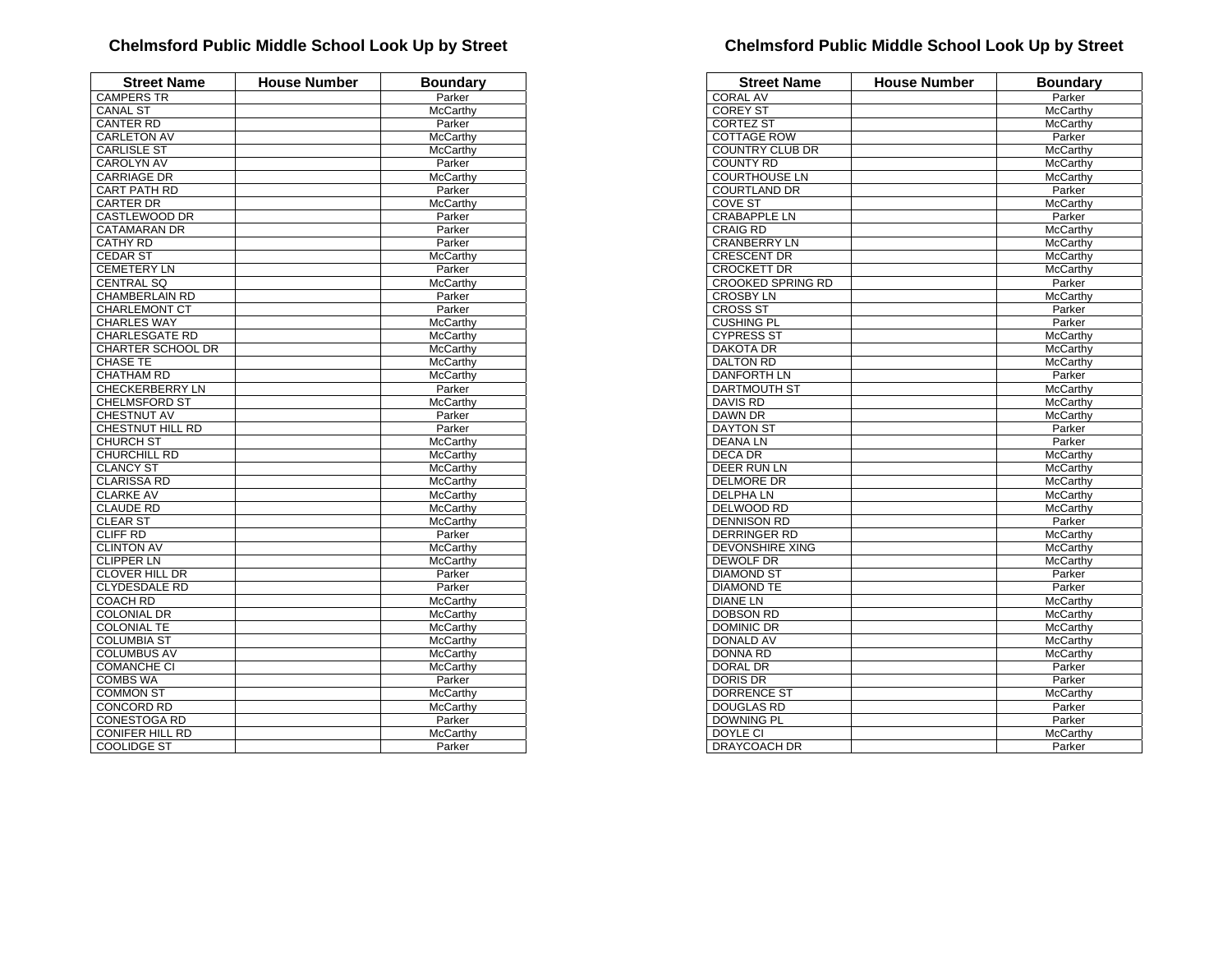| <b>Street Name</b>       | <b>House Number</b> | <b>Boundary</b>             |
|--------------------------|---------------------|-----------------------------|
| <b>CAMPERS TR</b>        |                     | Parker                      |
| <b>CANAL ST</b>          |                     | McCarthy                    |
| <b>CANTER RD</b>         |                     | Parker                      |
| <b>CARLETON AV</b>       |                     | McCarthy                    |
| <b>CARLISLE ST</b>       |                     | <b>McCarthy</b>             |
| <b>CAROLYN AV</b>        |                     | Parker                      |
| <b>CARRIAGE DR</b>       |                     | <b>McCarthy</b>             |
| <b>CART PATH RD</b>      |                     | Parker                      |
| <b>CARTER DR</b>         |                     | McCarthy                    |
| <b>CASTLEWOOD DR</b>     |                     | Parker                      |
| <b>CATAMARAN DR</b>      |                     | Parker                      |
| <b>CATHY RD</b>          |                     | Parker                      |
| CEDAR ST                 |                     | McCarthy                    |
| <b>CEMETERY LN</b>       |                     | Parker                      |
| <b>CENTRAL SQ</b>        |                     | McCarthy                    |
| <b>CHAMBERLAIN RD</b>    |                     | Parker                      |
| <b>CHARLEMONT CT</b>     |                     | Parker                      |
| <b>CHARLES WAY</b>       |                     | McCarthy                    |
| <b>CHARLESGATE RD</b>    |                     | <b>McCarthy</b>             |
| <b>CHARTER SCHOOL DR</b> |                     | <b>McCarthy</b>             |
| <b>CHASE TE</b>          |                     | <b>McCarthy</b>             |
| CHATHAM RD               |                     | <b>McCarthy</b>             |
| <b>CHECKERBERRY LN</b>   |                     | Parker                      |
| <b>CHELMSFORD ST</b>     |                     | McCarthy                    |
| CHESTNUT AV              |                     | Parker                      |
| <b>CHESTNUT HILL RD</b>  |                     | Parker                      |
| <b>CHURCH ST</b>         |                     | McCarthy                    |
| CHURCHILL RD             |                     | <b>McCarthy</b>             |
| <b>CLANCY ST</b>         |                     | <b>McCarthy</b>             |
| <b>CLARISSA RD</b>       |                     | McCarthy                    |
| <b>CLARKE AV</b>         |                     | <b>McCarthv</b>             |
| <b>CLAUDE RD</b>         |                     | <b>McCarthy</b>             |
| <b>CLEAR ST</b>          |                     | <b>McCarthy</b>             |
| <b>CLIFF RD</b>          |                     | Parker                      |
| <b>CLINTON AV</b>        |                     | <b>McCarthy</b>             |
| <b>CLIPPER LN</b>        |                     | <b>McCarthy</b>             |
| <b>CLOVER HILL DR</b>    |                     | Parker                      |
| <b>CLYDESDALE RD</b>     |                     | Parker                      |
| <b>COACH RD</b>          |                     | McCarthy                    |
| <b>COLONIAL DR</b>       |                     | <b>McCarthy</b>             |
| <b>COLONIAL TE</b>       |                     | McCarthy                    |
| <b>COLUMBIA ST</b>       |                     |                             |
| <b>COLUMBUS AV</b>       |                     | McCarthy                    |
| <b>COMANCHE CI</b>       |                     | <b>McCarthy</b><br>McCarthy |
| <b>COMBS WA</b>          |                     | Parker                      |
|                          |                     |                             |
| <b>COMMON ST</b>         |                     | McCarthy                    |
| <b>CONCORD RD</b>        |                     | McCarthy                    |
| <b>CONESTOGA RD</b>      |                     | Parker                      |
| <b>CONIFER HILL RD</b>   |                     | McCarthy                    |
| <b>COOLIDGE ST</b>       |                     | Parker                      |

| <b>Street Name</b>       | House Number | <b>Boundary</b> |
|--------------------------|--------------|-----------------|
| <b>CORAL AV</b>          |              | Parker          |
| <b>COREY ST</b>          |              | McCarthy        |
| CORTEZ ST                |              | McCarthy        |
| <b>COTTAGE ROW</b>       |              | Parker          |
| COUNTRY CLUB DR          |              | McCarthy        |
| <b>COUNTY RD</b>         |              | McCarthy        |
| <b>COURTHOUSE LN</b>     |              | McCarthy        |
| <b>COURTLAND DR</b>      |              | Parker          |
| <b>COVE ST</b>           |              | McCarthy        |
| <b>CRABAPPLE LN</b>      |              | Parker          |
| <b>CRAIG RD</b>          |              | <b>McCarthy</b> |
| <b>CRANBERRY LN</b>      |              | McCarthy        |
| <b>CRESCENT DR</b>       |              | <b>McCarthy</b> |
| <b>CROCKETT DR</b>       |              | McCarthy        |
| <b>CROOKED SPRING RD</b> |              | Parker          |
| <b>CROSBY LN</b>         |              | McCarthy        |
| <b>CROSS ST</b>          |              | Parker          |
| <b>CUSHING PL</b>        |              | Parker          |
| <b>CYPRESS ST</b>        |              | McCarthy        |
| <b>DAKOTA DR</b>         |              | McCarthy        |
| <b>DALTON RD</b>         |              | McCarthy        |
| <b>DANFORTH LN</b>       |              | Parker          |
| <b>DARTMOUTH ST</b>      |              | McCarthy        |
| <b>DAVIS RD</b>          |              | McCarthy        |
| <b>DAWN DR</b>           |              | McCarthy        |
| <b>DAYTON ST</b>         |              | Parker          |
| <b>DEANALN</b>           |              | Parker          |
| <b>DECA DR</b>           |              | McCarthy        |
| <b>DEER RUN LN</b>       |              | <b>McCarthy</b> |
| <b>DELMORE DR</b>        |              | <b>McCarthy</b> |
| <b>DELPHALN</b>          |              | McCarthy        |
| DELWOOD RD               |              | McCarthy        |
| <b>DENNISON RD</b>       |              | Parker          |
| <b>DERRINGER RD</b>      |              | McCarthy        |
| <b>DEVONSHIRE XING</b>   |              | McCarthy        |
| <b>DEWOLF DR</b>         |              | McCarthy        |
| <b>DIAMOND ST</b>        |              | Parker          |
| <b>DIAMOND TE</b>        |              | Parker          |
| <b>DIANE LN</b>          |              | <b>McCarthy</b> |
| <b>DOBSON RD</b>         |              | McCarthy        |
| <b>DOMINIC DR</b>        |              | McCarthy        |
| <b>DONALD AV</b>         |              | McCarthy        |
| <b>DONNA RD</b>          |              | McCarthy        |
| <b>DORAL DR</b>          |              | Parker          |
| <b>DORIS DR</b>          |              | Parker          |
| <b>DORRENCE ST</b>       |              | McCarthy        |
| <b>DOUGLAS RD</b>        |              | Parker          |
| <b>DOWNING PL</b>        |              | Parker          |
| DOYLE CI                 |              | McCarthy        |
| DRAYCOACH DR             |              | Parker          |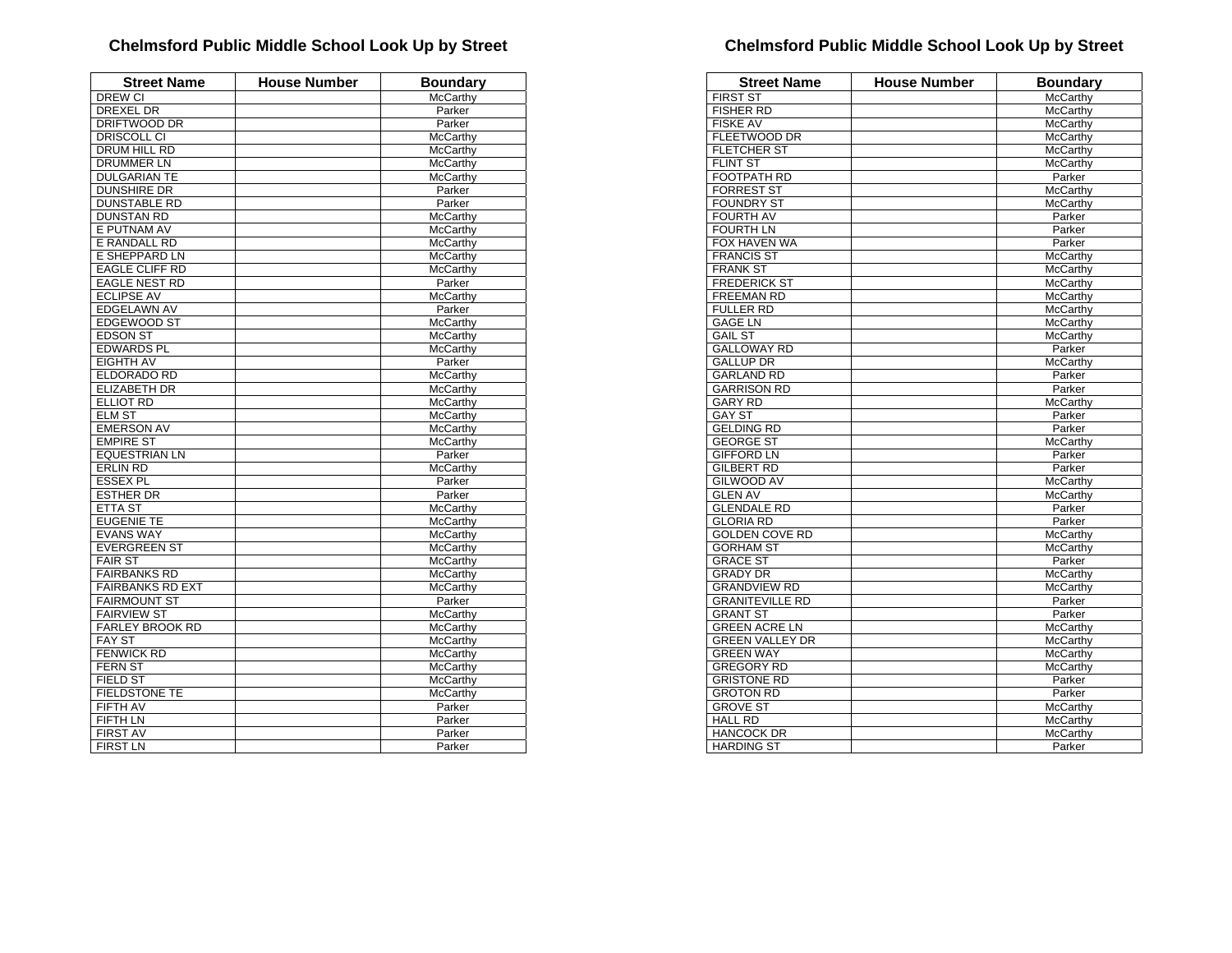| DREW CI<br>McCarthy<br>DREXEL DR<br>Parker<br><b>DRIFTWOOD DR</b><br>Parker<br>DRISCOLL CI<br>McCarthy<br>DRUM HILL RD<br>McCarthy<br><b>DRUMMER LN</b><br>McCarthy<br><b>DULGARIAN TE</b><br><b>McCarthy</b><br><b>DUNSHIRE DR</b><br>Parker<br><b>DUNSTABLE RD</b><br>Parker<br><b>DUNSTAN RD</b><br>McCarthy<br>E PUTNAM AV<br>McCarthy<br>E RANDALL RD<br>McCarthy<br>E SHEPPARD LN<br>McCarthy<br><b>EAGLE CLIFF RD</b><br>McCarthy<br><b>EAGLE NEST RD</b><br>Parker<br><b>ECLIPSE AV</b><br><b>McCarthy</b><br><b>EDGELAWN AV</b><br>Parker<br>EDGEWOOD ST<br><b>McCarthy</b><br><b>EDSON ST</b><br><b>McCarthy</b><br><b>EDWARDS PL</b><br>McCarthy<br><b>EIGHTH AV</b><br>Parker<br>ELDORADO RD<br>McCarthy<br><b>ELIZABETH DR</b><br>McCarthy<br><b>ELLIOT RD</b><br>McCarthy<br><b>ELM ST</b><br><b>McCarthy</b><br><b>EMERSON AV</b><br>McCarthy<br><b>EMPIRE ST</b><br><b>McCarthy</b><br><b>EQUESTRIAN LN</b><br>Parker<br><b>ERLIN RD</b><br>McCarthy<br><b>ESSEX PL</b><br>Parker<br>Parker<br><b>ESTHER DR</b><br><b>ETTA ST</b><br><b>McCarthy</b><br><b>EUGENIE TE</b><br>McCarthy<br><b>EVANS WAY</b><br><b>McCarthy</b><br><b>EVERGREEN ST</b><br>McCarthy<br><b>FAIR ST</b><br><b>McCarthy</b><br><b>FAIRBANKS RD</b><br><b>McCarthy</b><br><b>FAIRBANKS RD EXT</b><br>McCarthy<br><b>FAIRMOUNT ST</b><br>Parker<br><b>FAIRVIEW ST</b><br><b>McCarthy</b><br>FARLEY BROOK RD<br>McCarthy<br><b>FAY ST</b><br><b>McCarthy</b><br><b>FENWICK RD</b><br><b>McCarthy</b><br><b>FERN ST</b><br><b>McCarthy</b><br><b>FIELD ST</b><br><b>McCarthy</b><br><b>FIELDSTONE TE</b><br><b>McCarthy</b><br><b>FIFTH AV</b><br>Parker<br><b>FIFTH LN</b><br>Parker<br><b>FIRST AV</b><br>Parker<br>Parker | <b>Street Name</b> | <b>House Number</b> | <b>Boundary</b> |
|-------------------------------------------------------------------------------------------------------------------------------------------------------------------------------------------------------------------------------------------------------------------------------------------------------------------------------------------------------------------------------------------------------------------------------------------------------------------------------------------------------------------------------------------------------------------------------------------------------------------------------------------------------------------------------------------------------------------------------------------------------------------------------------------------------------------------------------------------------------------------------------------------------------------------------------------------------------------------------------------------------------------------------------------------------------------------------------------------------------------------------------------------------------------------------------------------------------------------------------------------------------------------------------------------------------------------------------------------------------------------------------------------------------------------------------------------------------------------------------------------------------------------------------------------------------------------------------------------------------------------------------------------------------------------------------------------------------------|--------------------|---------------------|-----------------|
|                                                                                                                                                                                                                                                                                                                                                                                                                                                                                                                                                                                                                                                                                                                                                                                                                                                                                                                                                                                                                                                                                                                                                                                                                                                                                                                                                                                                                                                                                                                                                                                                                                                                                                                   |                    |                     |                 |
|                                                                                                                                                                                                                                                                                                                                                                                                                                                                                                                                                                                                                                                                                                                                                                                                                                                                                                                                                                                                                                                                                                                                                                                                                                                                                                                                                                                                                                                                                                                                                                                                                                                                                                                   |                    |                     |                 |
|                                                                                                                                                                                                                                                                                                                                                                                                                                                                                                                                                                                                                                                                                                                                                                                                                                                                                                                                                                                                                                                                                                                                                                                                                                                                                                                                                                                                                                                                                                                                                                                                                                                                                                                   |                    |                     |                 |
|                                                                                                                                                                                                                                                                                                                                                                                                                                                                                                                                                                                                                                                                                                                                                                                                                                                                                                                                                                                                                                                                                                                                                                                                                                                                                                                                                                                                                                                                                                                                                                                                                                                                                                                   |                    |                     |                 |
|                                                                                                                                                                                                                                                                                                                                                                                                                                                                                                                                                                                                                                                                                                                                                                                                                                                                                                                                                                                                                                                                                                                                                                                                                                                                                                                                                                                                                                                                                                                                                                                                                                                                                                                   |                    |                     |                 |
|                                                                                                                                                                                                                                                                                                                                                                                                                                                                                                                                                                                                                                                                                                                                                                                                                                                                                                                                                                                                                                                                                                                                                                                                                                                                                                                                                                                                                                                                                                                                                                                                                                                                                                                   |                    |                     |                 |
|                                                                                                                                                                                                                                                                                                                                                                                                                                                                                                                                                                                                                                                                                                                                                                                                                                                                                                                                                                                                                                                                                                                                                                                                                                                                                                                                                                                                                                                                                                                                                                                                                                                                                                                   |                    |                     |                 |
|                                                                                                                                                                                                                                                                                                                                                                                                                                                                                                                                                                                                                                                                                                                                                                                                                                                                                                                                                                                                                                                                                                                                                                                                                                                                                                                                                                                                                                                                                                                                                                                                                                                                                                                   |                    |                     |                 |
|                                                                                                                                                                                                                                                                                                                                                                                                                                                                                                                                                                                                                                                                                                                                                                                                                                                                                                                                                                                                                                                                                                                                                                                                                                                                                                                                                                                                                                                                                                                                                                                                                                                                                                                   |                    |                     |                 |
|                                                                                                                                                                                                                                                                                                                                                                                                                                                                                                                                                                                                                                                                                                                                                                                                                                                                                                                                                                                                                                                                                                                                                                                                                                                                                                                                                                                                                                                                                                                                                                                                                                                                                                                   |                    |                     |                 |
|                                                                                                                                                                                                                                                                                                                                                                                                                                                                                                                                                                                                                                                                                                                                                                                                                                                                                                                                                                                                                                                                                                                                                                                                                                                                                                                                                                                                                                                                                                                                                                                                                                                                                                                   |                    |                     |                 |
|                                                                                                                                                                                                                                                                                                                                                                                                                                                                                                                                                                                                                                                                                                                                                                                                                                                                                                                                                                                                                                                                                                                                                                                                                                                                                                                                                                                                                                                                                                                                                                                                                                                                                                                   |                    |                     |                 |
|                                                                                                                                                                                                                                                                                                                                                                                                                                                                                                                                                                                                                                                                                                                                                                                                                                                                                                                                                                                                                                                                                                                                                                                                                                                                                                                                                                                                                                                                                                                                                                                                                                                                                                                   |                    |                     |                 |
|                                                                                                                                                                                                                                                                                                                                                                                                                                                                                                                                                                                                                                                                                                                                                                                                                                                                                                                                                                                                                                                                                                                                                                                                                                                                                                                                                                                                                                                                                                                                                                                                                                                                                                                   |                    |                     |                 |
|                                                                                                                                                                                                                                                                                                                                                                                                                                                                                                                                                                                                                                                                                                                                                                                                                                                                                                                                                                                                                                                                                                                                                                                                                                                                                                                                                                                                                                                                                                                                                                                                                                                                                                                   |                    |                     |                 |
|                                                                                                                                                                                                                                                                                                                                                                                                                                                                                                                                                                                                                                                                                                                                                                                                                                                                                                                                                                                                                                                                                                                                                                                                                                                                                                                                                                                                                                                                                                                                                                                                                                                                                                                   |                    |                     |                 |
|                                                                                                                                                                                                                                                                                                                                                                                                                                                                                                                                                                                                                                                                                                                                                                                                                                                                                                                                                                                                                                                                                                                                                                                                                                                                                                                                                                                                                                                                                                                                                                                                                                                                                                                   |                    |                     |                 |
|                                                                                                                                                                                                                                                                                                                                                                                                                                                                                                                                                                                                                                                                                                                                                                                                                                                                                                                                                                                                                                                                                                                                                                                                                                                                                                                                                                                                                                                                                                                                                                                                                                                                                                                   |                    |                     |                 |
|                                                                                                                                                                                                                                                                                                                                                                                                                                                                                                                                                                                                                                                                                                                                                                                                                                                                                                                                                                                                                                                                                                                                                                                                                                                                                                                                                                                                                                                                                                                                                                                                                                                                                                                   |                    |                     |                 |
|                                                                                                                                                                                                                                                                                                                                                                                                                                                                                                                                                                                                                                                                                                                                                                                                                                                                                                                                                                                                                                                                                                                                                                                                                                                                                                                                                                                                                                                                                                                                                                                                                                                                                                                   |                    |                     |                 |
|                                                                                                                                                                                                                                                                                                                                                                                                                                                                                                                                                                                                                                                                                                                                                                                                                                                                                                                                                                                                                                                                                                                                                                                                                                                                                                                                                                                                                                                                                                                                                                                                                                                                                                                   |                    |                     |                 |
|                                                                                                                                                                                                                                                                                                                                                                                                                                                                                                                                                                                                                                                                                                                                                                                                                                                                                                                                                                                                                                                                                                                                                                                                                                                                                                                                                                                                                                                                                                                                                                                                                                                                                                                   |                    |                     |                 |
|                                                                                                                                                                                                                                                                                                                                                                                                                                                                                                                                                                                                                                                                                                                                                                                                                                                                                                                                                                                                                                                                                                                                                                                                                                                                                                                                                                                                                                                                                                                                                                                                                                                                                                                   |                    |                     |                 |
|                                                                                                                                                                                                                                                                                                                                                                                                                                                                                                                                                                                                                                                                                                                                                                                                                                                                                                                                                                                                                                                                                                                                                                                                                                                                                                                                                                                                                                                                                                                                                                                                                                                                                                                   |                    |                     |                 |
|                                                                                                                                                                                                                                                                                                                                                                                                                                                                                                                                                                                                                                                                                                                                                                                                                                                                                                                                                                                                                                                                                                                                                                                                                                                                                                                                                                                                                                                                                                                                                                                                                                                                                                                   |                    |                     |                 |
|                                                                                                                                                                                                                                                                                                                                                                                                                                                                                                                                                                                                                                                                                                                                                                                                                                                                                                                                                                                                                                                                                                                                                                                                                                                                                                                                                                                                                                                                                                                                                                                                                                                                                                                   |                    |                     |                 |
|                                                                                                                                                                                                                                                                                                                                                                                                                                                                                                                                                                                                                                                                                                                                                                                                                                                                                                                                                                                                                                                                                                                                                                                                                                                                                                                                                                                                                                                                                                                                                                                                                                                                                                                   |                    |                     |                 |
|                                                                                                                                                                                                                                                                                                                                                                                                                                                                                                                                                                                                                                                                                                                                                                                                                                                                                                                                                                                                                                                                                                                                                                                                                                                                                                                                                                                                                                                                                                                                                                                                                                                                                                                   |                    |                     |                 |
|                                                                                                                                                                                                                                                                                                                                                                                                                                                                                                                                                                                                                                                                                                                                                                                                                                                                                                                                                                                                                                                                                                                                                                                                                                                                                                                                                                                                                                                                                                                                                                                                                                                                                                                   |                    |                     |                 |
|                                                                                                                                                                                                                                                                                                                                                                                                                                                                                                                                                                                                                                                                                                                                                                                                                                                                                                                                                                                                                                                                                                                                                                                                                                                                                                                                                                                                                                                                                                                                                                                                                                                                                                                   |                    |                     |                 |
|                                                                                                                                                                                                                                                                                                                                                                                                                                                                                                                                                                                                                                                                                                                                                                                                                                                                                                                                                                                                                                                                                                                                                                                                                                                                                                                                                                                                                                                                                                                                                                                                                                                                                                                   |                    |                     |                 |
|                                                                                                                                                                                                                                                                                                                                                                                                                                                                                                                                                                                                                                                                                                                                                                                                                                                                                                                                                                                                                                                                                                                                                                                                                                                                                                                                                                                                                                                                                                                                                                                                                                                                                                                   |                    |                     |                 |
|                                                                                                                                                                                                                                                                                                                                                                                                                                                                                                                                                                                                                                                                                                                                                                                                                                                                                                                                                                                                                                                                                                                                                                                                                                                                                                                                                                                                                                                                                                                                                                                                                                                                                                                   |                    |                     |                 |
|                                                                                                                                                                                                                                                                                                                                                                                                                                                                                                                                                                                                                                                                                                                                                                                                                                                                                                                                                                                                                                                                                                                                                                                                                                                                                                                                                                                                                                                                                                                                                                                                                                                                                                                   |                    |                     |                 |
|                                                                                                                                                                                                                                                                                                                                                                                                                                                                                                                                                                                                                                                                                                                                                                                                                                                                                                                                                                                                                                                                                                                                                                                                                                                                                                                                                                                                                                                                                                                                                                                                                                                                                                                   |                    |                     |                 |
|                                                                                                                                                                                                                                                                                                                                                                                                                                                                                                                                                                                                                                                                                                                                                                                                                                                                                                                                                                                                                                                                                                                                                                                                                                                                                                                                                                                                                                                                                                                                                                                                                                                                                                                   |                    |                     |                 |
|                                                                                                                                                                                                                                                                                                                                                                                                                                                                                                                                                                                                                                                                                                                                                                                                                                                                                                                                                                                                                                                                                                                                                                                                                                                                                                                                                                                                                                                                                                                                                                                                                                                                                                                   |                    |                     |                 |
|                                                                                                                                                                                                                                                                                                                                                                                                                                                                                                                                                                                                                                                                                                                                                                                                                                                                                                                                                                                                                                                                                                                                                                                                                                                                                                                                                                                                                                                                                                                                                                                                                                                                                                                   |                    |                     |                 |
|                                                                                                                                                                                                                                                                                                                                                                                                                                                                                                                                                                                                                                                                                                                                                                                                                                                                                                                                                                                                                                                                                                                                                                                                                                                                                                                                                                                                                                                                                                                                                                                                                                                                                                                   |                    |                     |                 |
|                                                                                                                                                                                                                                                                                                                                                                                                                                                                                                                                                                                                                                                                                                                                                                                                                                                                                                                                                                                                                                                                                                                                                                                                                                                                                                                                                                                                                                                                                                                                                                                                                                                                                                                   |                    |                     |                 |
|                                                                                                                                                                                                                                                                                                                                                                                                                                                                                                                                                                                                                                                                                                                                                                                                                                                                                                                                                                                                                                                                                                                                                                                                                                                                                                                                                                                                                                                                                                                                                                                                                                                                                                                   |                    |                     |                 |
|                                                                                                                                                                                                                                                                                                                                                                                                                                                                                                                                                                                                                                                                                                                                                                                                                                                                                                                                                                                                                                                                                                                                                                                                                                                                                                                                                                                                                                                                                                                                                                                                                                                                                                                   |                    |                     |                 |
|                                                                                                                                                                                                                                                                                                                                                                                                                                                                                                                                                                                                                                                                                                                                                                                                                                                                                                                                                                                                                                                                                                                                                                                                                                                                                                                                                                                                                                                                                                                                                                                                                                                                                                                   |                    |                     |                 |
|                                                                                                                                                                                                                                                                                                                                                                                                                                                                                                                                                                                                                                                                                                                                                                                                                                                                                                                                                                                                                                                                                                                                                                                                                                                                                                                                                                                                                                                                                                                                                                                                                                                                                                                   |                    |                     |                 |
|                                                                                                                                                                                                                                                                                                                                                                                                                                                                                                                                                                                                                                                                                                                                                                                                                                                                                                                                                                                                                                                                                                                                                                                                                                                                                                                                                                                                                                                                                                                                                                                                                                                                                                                   |                    |                     |                 |
|                                                                                                                                                                                                                                                                                                                                                                                                                                                                                                                                                                                                                                                                                                                                                                                                                                                                                                                                                                                                                                                                                                                                                                                                                                                                                                                                                                                                                                                                                                                                                                                                                                                                                                                   |                    |                     |                 |
|                                                                                                                                                                                                                                                                                                                                                                                                                                                                                                                                                                                                                                                                                                                                                                                                                                                                                                                                                                                                                                                                                                                                                                                                                                                                                                                                                                                                                                                                                                                                                                                                                                                                                                                   |                    |                     |                 |
|                                                                                                                                                                                                                                                                                                                                                                                                                                                                                                                                                                                                                                                                                                                                                                                                                                                                                                                                                                                                                                                                                                                                                                                                                                                                                                                                                                                                                                                                                                                                                                                                                                                                                                                   |                    |                     |                 |
|                                                                                                                                                                                                                                                                                                                                                                                                                                                                                                                                                                                                                                                                                                                                                                                                                                                                                                                                                                                                                                                                                                                                                                                                                                                                                                                                                                                                                                                                                                                                                                                                                                                                                                                   |                    |                     |                 |
|                                                                                                                                                                                                                                                                                                                                                                                                                                                                                                                                                                                                                                                                                                                                                                                                                                                                                                                                                                                                                                                                                                                                                                                                                                                                                                                                                                                                                                                                                                                                                                                                                                                                                                                   | <b>FIRST LN</b>    |                     |                 |

| <b>Street Name</b>     | <b>House Number</b> | <b>Boundary</b> |
|------------------------|---------------------|-----------------|
| <b>FIRST ST</b>        |                     | McCarthy        |
| <b>FISHER RD</b>       |                     | McCarthy        |
| <b>FISKE AV</b>        |                     | McCarthy        |
| <b>FLEETWOOD DR</b>    |                     | McCarthy        |
| <b>FLETCHER ST</b>     |                     | McCarthy        |
| <b>FLINT ST</b>        |                     | <b>McCarthy</b> |
| <b>FOOTPATH RD</b>     |                     | Parker          |
| <b>FORREST ST</b>      |                     | McCarthy        |
| <b>FOUNDRY ST</b>      |                     | McCarthy        |
| <b>FOURTH AV</b>       |                     | Parker          |
| <b>FOURTH LN</b>       |                     | Parker          |
| FOX HAVEN WA           |                     | Parker          |
| <b>FRANCIS ST</b>      |                     | McCarthy        |
| <b>FRANK ST</b>        |                     | McCarthy        |
| <b>FREDERICK ST</b>    |                     | McCarthy        |
| <b>FREEMAN RD</b>      |                     | McCarthy        |
| <b>FULLER RD</b>       |                     | <b>McCarthy</b> |
| <b>GAGE LN</b>         |                     | <b>McCarthy</b> |
| <b>GAIL ST</b>         |                     | McCarthy        |
| <b>GALLOWAY RD</b>     |                     | Parker          |
| <b>GALLUP DR</b>       |                     | McCarthy        |
| <b>GARLAND RD</b>      |                     | Parker          |
| <b>GARRISON RD</b>     |                     | Parker          |
| <b>GARY RD</b>         |                     | McCarthy        |
| <b>GAY ST</b>          |                     | Parker          |
| <b>GELDING RD</b>      |                     | Parker          |
| <b>GEORGE ST</b>       |                     | McCarthy        |
| <b>GIFFORD LN</b>      |                     | Parker          |
| <b>GILBERT RD</b>      |                     | Parker          |
| <b>GILWOOD AV</b>      |                     | McCarthy        |
| <b>GLEN AV</b>         |                     | McCarthy        |
| <b>GLENDALE RD</b>     |                     | Parker          |
| <b>GLORIA RD</b>       |                     | Parker          |
| <b>GOLDEN COVE RD</b>  |                     | McCarthy        |
| <b>GORHAM ST</b>       |                     | McCarthy        |
| <b>GRACE ST</b>        |                     | Parker          |
| <b>GRADY DR</b>        |                     | McCarthy        |
| <b>GRANDVIEW RD</b>    |                     | <b>McCarthv</b> |
| <b>GRANITEVILLE RD</b> |                     | Parker          |
| <b>GRANT ST</b>        |                     | Parker          |
| <b>GREEN ACRE LN</b>   |                     | McCarthy        |
| <b>GREEN VALLEY DR</b> |                     | McCarthy        |
| <b>GREEN WAY</b>       |                     | McCarthy        |
| <b>GREGORY RD</b>      |                     | McCarthy        |
| <b>GRISTONE RD</b>     |                     | Parker          |
| <b>GROTON RD</b>       |                     | Parker          |
| <b>GROVE ST</b>        |                     | McCarthy        |
| <b>HALL RD</b>         |                     | McCarthy        |
| <b>HANCOCK DR</b>      |                     | McCarthy        |
| <b>HARDING ST</b>      |                     | Parker          |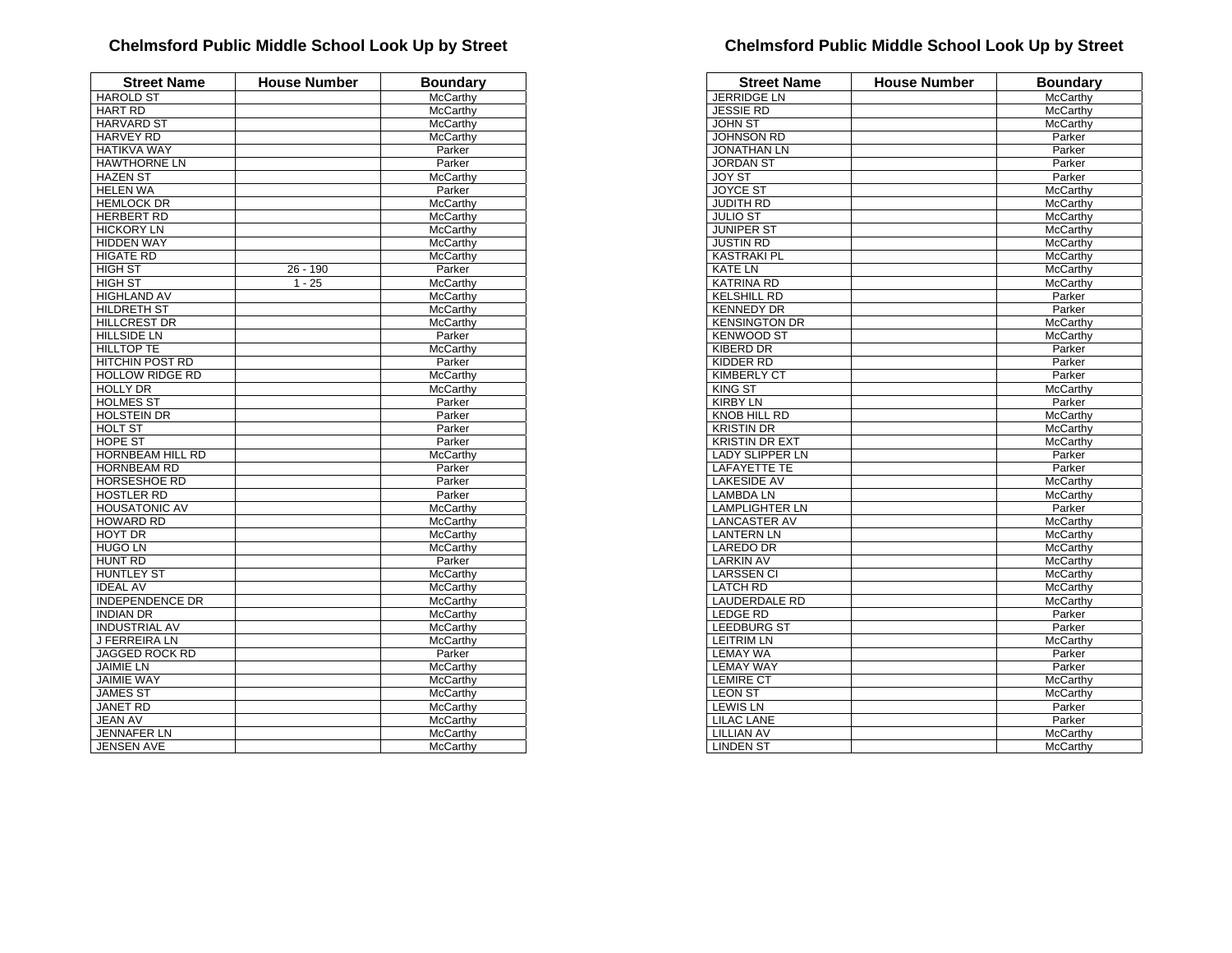| <b>Street Name</b>     | <b>House Number</b> | <b>Boundary</b> |
|------------------------|---------------------|-----------------|
| <b>HAROLD ST</b>       |                     | McCarthy        |
| <b>HART RD</b>         |                     | <b>McCarthy</b> |
| <b>HARVARD ST</b>      |                     | <b>McCarthy</b> |
| <b>HARVEY RD</b>       |                     | McCarthy        |
| <b>HATIKVA WAY</b>     |                     | Parker          |
| <b>HAWTHORNE LN</b>    |                     | Parker          |
| <b>HAZEN ST</b>        |                     | <b>McCarthy</b> |
| <b>HELEN WA</b>        |                     | Parker          |
| <b>HEMLOCK DR</b>      |                     | McCarthy        |
| <b>HERBERT RD</b>      |                     | McCarthy        |
| <b>HICKORY LN</b>      |                     | <b>McCarthy</b> |
| <b>HIDDEN WAY</b>      |                     | McCarthy        |
| <b>HIGATE RD</b>       |                     | <b>McCarthy</b> |
| <b>HIGH ST</b>         | 26 - 190            | Parker          |
| <b>HIGH ST</b>         | $1 - 25$            | <b>McCarthy</b> |
| <b>HIGHLAND AV</b>     |                     | <b>McCarthy</b> |
| HILDRETH ST            |                     | <b>McCarthy</b> |
| <b>HILLCREST DR</b>    |                     | <b>McCarthy</b> |
| <b>HILLSIDE LN</b>     |                     | Parker          |
| <b>HILLTOP TE</b>      |                     | <b>McCarthy</b> |
| <b>HITCHIN POST RD</b> |                     | Parker          |
| <b>HOLLOW RIDGE RD</b> |                     | McCarthy        |
| <b>HOLLY DR</b>        |                     | McCarthy        |
| <b>HOLMES ST</b>       |                     | Parker          |
| <b>HOLSTEIN DR</b>     |                     | Parker          |
| <b>HOLT ST</b>         |                     | Parker          |
| <b>HOPE ST</b>         |                     | Parker          |
| HORNBEAM HILL RD       |                     | <b>McCarthy</b> |
| <b>HORNBEAM RD</b>     |                     | Parker          |
| <b>HORSESHOE RD</b>    |                     | Parker          |
| <b>HOSTLER RD</b>      |                     | Parker          |
| <b>HOUSATONIC AV</b>   |                     | McCarthy        |
| <b>HOWARD RD</b>       |                     | McCarthy        |
| <b>HOYT DR</b>         |                     | McCarthy        |
| <b>HUGO LN</b>         |                     | McCarthy        |
| <b>HUNT RD</b>         |                     | Parker          |
| <b>HUNTLEY ST</b>      |                     | McCarthy        |
| <b>IDEAL AV</b>        |                     | McCarthy        |
| <b>INDEPENDENCE DR</b> |                     | <b>McCarthy</b> |
| <b>INDIAN DR</b>       |                     | McCarthy        |
| <b>INDUSTRIAL AV</b>   |                     | McCarthy        |
| <b>J FERREIRA LN</b>   |                     | McCarthy        |
| JAGGED ROCK RD         |                     | Parker          |
| <b>JAIMIE LN</b>       |                     | McCarthy        |
| <b>JAIMIE WAY</b>      |                     | <b>McCarthy</b> |
| <b>JAMES ST</b>        |                     | McCarthy        |
| <b>JANET RD</b>        |                     | McCarthy        |
| <b>JEAN AV</b>         |                     | McCarthy        |
| <b>JENNAFER LN</b>     |                     | McCarthy        |
| <b>JENSEN AVE</b>      |                     | McCarthy        |

| <b>Street Name</b>     | <b>House Number</b> | <b>Boundary</b> |
|------------------------|---------------------|-----------------|
| <b>JERRIDGE LN</b>     |                     | McCarthy        |
| <b>JESSIE RD</b>       |                     | <b>McCarthy</b> |
| <b>JOHN ST</b>         |                     | <b>McCarthy</b> |
| JOHNSON RD             |                     | Parker          |
| <b>JONATHAN LN</b>     |                     | Parker          |
| <b>JORDAN ST</b>       |                     | Parker          |
| <b>JOY ST</b>          |                     | Parker          |
| <b>JOYCE ST</b>        |                     | McCarthy        |
| <b>JUDITH RD</b>       |                     | McCarthy        |
| <b>JULIO ST</b>        |                     | McCarthy        |
| <b>JUNIPER ST</b>      |                     | <b>McCarthy</b> |
| <b>JUSTIN RD</b>       |                     | McCarthy        |
| <b>KASTRAKI PL</b>     |                     | McCarthy        |
| <b>KATE LN</b>         |                     | McCarthy        |
| <b>KATRINA RD</b>      |                     | McCarthy        |
| <b>KELSHILL RD</b>     |                     | Parker          |
| <b>KENNEDY DR</b>      |                     | Parker          |
| <b>KENSINGTON DR</b>   |                     | McCarthy        |
| <b>KENWOOD ST</b>      |                     | McCarthy        |
| <b>KIBERD DR</b>       |                     | Parker          |
| KIDDER RD              |                     | Parker          |
| <b>KIMBERLY CT</b>     |                     | Parker          |
| <b>KING ST</b>         |                     | <b>McCarthy</b> |
| <b>KIRBY LN</b>        |                     | Parker          |
| <b>KNOB HILL RD</b>    |                     | McCarthy        |
| <b>KRISTIN DR</b>      |                     | <b>McCarthv</b> |
| <b>KRISTIN DR EXT</b>  |                     | McCarthy        |
| <b>LADY SLIPPER LN</b> |                     | Parker          |
| <b>LAFAYETTE TE</b>    |                     | Parker          |
| <b>LAKESIDE AV</b>     |                     | <b>McCarthy</b> |
| <b>LAMBDA LN</b>       |                     |                 |
|                        |                     | McCarthy        |
| <b>LAMPLIGHTER LN</b>  |                     | Parker          |
| <b>LANCASTER AV</b>    |                     | McCarthy        |
| <b>LANTERN LN</b>      |                     | <b>McCarthy</b> |
| <b>LAREDO DR</b>       |                     | <b>McCarthy</b> |
| <b>LARKIN AV</b>       |                     | McCarthy        |
| <b>LARSSEN CI</b>      |                     | <b>McCarthy</b> |
| <b>LATCH RD</b>        |                     | <b>McCarthy</b> |
| <b>LAUDERDALE RD</b>   |                     | McCarthy        |
| <b>LEDGE RD</b>        |                     | Parker          |
| <b>LEEDBURG ST</b>     |                     | Parker          |
| <b>LEITRIM LN</b>      |                     | McCarthy        |
| <b>LEMAY WA</b>        |                     | Parker          |
| <b>LEMAY WAY</b>       |                     | Parker          |
| <b>LEMIRE CT</b>       |                     | McCarthy        |
| <b>LEON ST</b>         |                     | McCarthy        |
| <b>LEWIS LN</b>        |                     | Parker          |
| <b>LILAC LANE</b>      |                     | Parker          |
| <b>LILLIAN AV</b>      |                     | McCarthy        |
| <b>LINDEN ST</b>       |                     | McCarthy        |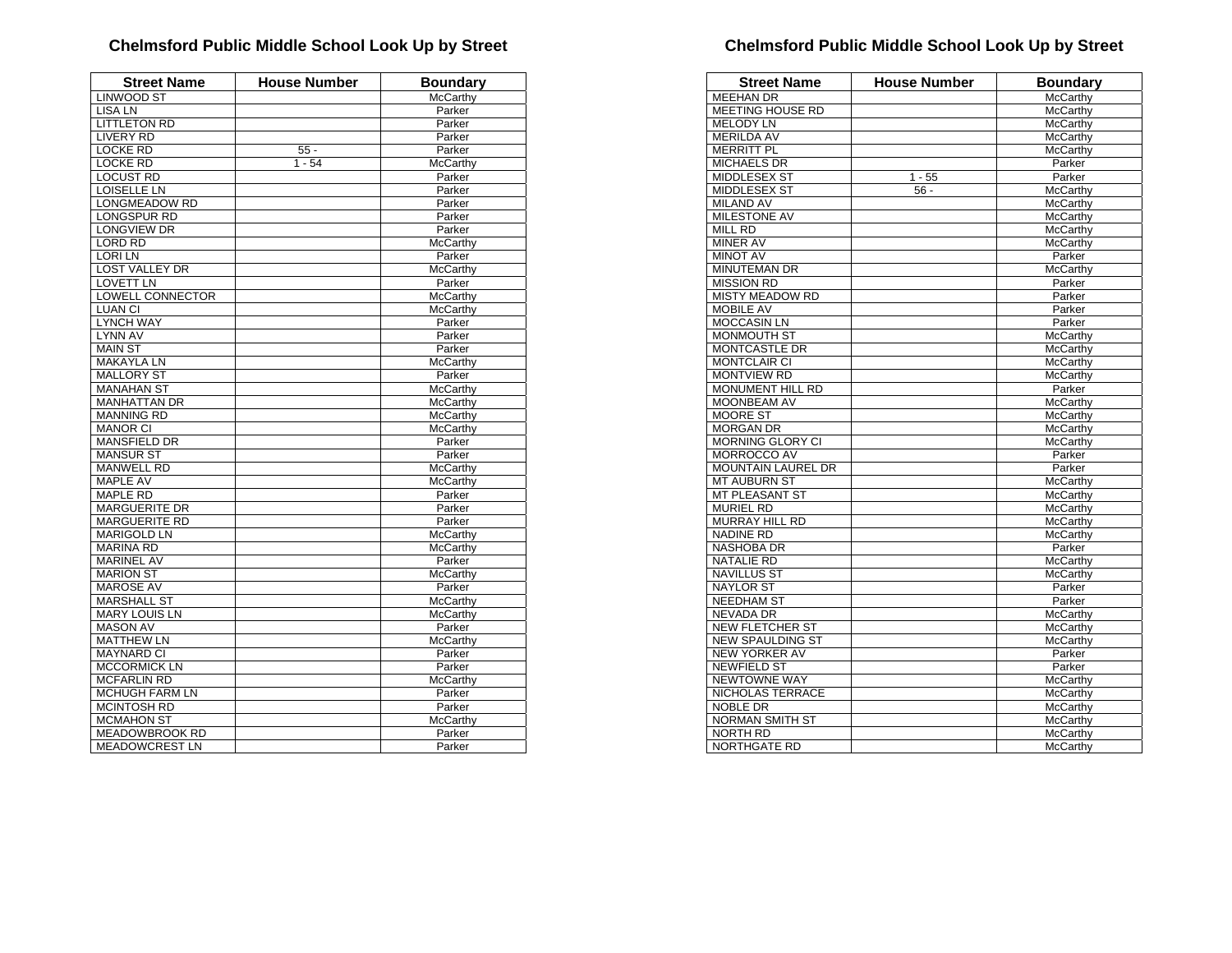| <b>Street Name</b>      | <b>House Number</b> | <b>Boundary</b>    |
|-------------------------|---------------------|--------------------|
| <b>LINWOOD ST</b>       |                     | McCarthy           |
| <b>LISA LN</b>          |                     | Parker             |
| <b>LITTLETON RD</b>     |                     | Parker             |
| <b>LIVERY RD</b>        |                     | Parker             |
| <b>LOCKE RD</b>         | $55 -$              | Parker             |
| <b>LOCKE RD</b>         | $1 - 54$            | McCarthy           |
| <b>LOCUST RD</b>        |                     | Parker             |
| <b>LOISELLE LN</b>      |                     | Parker             |
| <b>LONGMEADOW RD</b>    |                     | Parker             |
| <b>LONGSPUR RD</b>      |                     | Parker             |
| <b>LONGVIEW DR</b>      |                     | Parker             |
| <b>LORD RD</b>          |                     | McCarthy           |
| <b>LORILN</b>           |                     | Parker             |
| <b>LOST VALLEY DR</b>   |                     | McCarthy           |
| <b>LOVETT LN</b>        |                     | Parker             |
| <b>LOWELL CONNECTOR</b> |                     | McCarthy           |
| <b>LUAN CI</b>          |                     | McCarthy           |
| <b>LYNCH WAY</b>        |                     | Parker             |
| <b>LYNN AV</b>          |                     | Parker             |
| <b>MAIN ST</b>          |                     | Parker             |
| <b>MAKAYLA LN</b>       |                     | <b>McCarthy</b>    |
| <b>MALLORY ST</b>       |                     | Parker             |
| <b>MANAHAN ST</b>       |                     | McCarthy           |
| <b>MANHATTAN DR</b>     |                     | McCarthy           |
| <b>MANNING RD</b>       |                     | McCarthy           |
| <b>MANOR CI</b>         |                     | McCarthy           |
| <b>MANSFIELD DR</b>     |                     | Parker             |
| <b>MANSUR ST</b>        |                     | Parker             |
| <b>MANWELL RD</b>       |                     | McCarthy           |
| MAPLE AV                |                     | McCarthy           |
| <b>MAPLE RD</b>         |                     | Parker             |
| <b>MARGUERITE DR</b>    |                     | Parker             |
| <b>MARGUERITE RD</b>    |                     | Parker             |
| <b>MARIGOLD LN</b>      |                     | McCarthy           |
| <b>MARINA RD</b>        |                     | McCarthy           |
| <b>MARINEL AV</b>       |                     | Parker             |
| <b>MARION ST</b>        |                     | McCarthy           |
| <b>MAROSE AV</b>        |                     | Parker             |
| <b>MARSHALL ST</b>      |                     | McCarthy           |
| <b>MARY LOUIS LN</b>    |                     | <b>McCarthy</b>    |
| <b>MASON AV</b>         |                     | Parker             |
| <b>MATTHEW LN</b>       |                     | McCarthy           |
| <b>MAYNARD CI</b>       |                     | Parker             |
| <b>MCCORMICK LN</b>     |                     | Parker             |
| <b>MCFARLIN RD</b>      |                     | McCarthy           |
| <b>MCHUGH FARM LN</b>   |                     | Parker             |
| <b>MCINTOSH RD</b>      |                     | Parker             |
| <b>MCMAHON ST</b>       |                     |                    |
| <b>MEADOWBROOK RD</b>   |                     | McCarthy<br>Parker |
|                         |                     |                    |
| <b>MEADOWCREST LN</b>   |                     | Parker             |

| <b>MEEHAN DR</b><br><b>MEETING HOUSE RD</b><br>McCarthy<br><b>MELODY LN</b><br>McCarthy<br><b>MERILDA AV</b><br><b>McCarthy</b><br><b>MERRITT PL</b><br>McCarthy<br><b>MICHAELS DR</b><br>Parker<br><b>MIDDLESEX ST</b><br>Parker<br>$1 - 55$<br><b>MIDDLESEX ST</b><br>McCarthy<br>$56 -$<br><b>MILAND AV</b><br>McCarthy<br><b>MILESTONE AV</b><br><b>McCarthy</b><br>MILL RD<br>McCarthy<br><b>MINER AV</b><br><b>McCarthy</b><br><b>MINOT AV</b><br>Parker<br>MINUTEMAN DR<br>McCarthy<br><b>MISSION RD</b><br>Parker<br><b>MISTY MEADOW RD</b><br>Parker<br><b>MOBILE AV</b><br>Parker<br><b>MOCCASIN LN</b><br>Parker<br>MONMOUTH ST<br>McCarthy<br><b>MONTCASTLE DR</b><br>McCarthy<br><b>MONTCLAIR CI</b><br><b>McCarthy</b><br><b>MONTVIEW RD</b><br><b>McCarthy</b><br><b>MONUMENT HILL RD</b><br>Parker<br><b>MOONBEAM AV</b><br>McCarthy<br>MOORE ST<br>McCarthy<br><b>MORGAN DR</b><br>McCarthy<br>MORNING GLORY CI<br>McCarthy<br><b>MORROCCO AV</b><br>Parker<br><b>MOUNTAIN LAUREL DR</b><br>Parker<br><b>MT AUBURN ST</b><br>McCarthy<br><b>MT PLEASANT ST</b><br>McCarthy<br><b>MURIEL RD</b><br><b>McCarthy</b><br><b>MURRAY HILL RD</b><br>McCarthy<br><b>NADINE RD</b><br>McCarthy<br><b>NASHOBA DR</b><br>Parker<br><b>NATALIE RD</b><br>McCarthy<br><b>NAVILLUS ST</b><br>McCarthy<br><b>NAYLOR ST</b><br>Parker<br><b>NEEDHAM ST</b><br>Parker<br><b>NEVADA DR</b><br>McCarthy<br>NEW FLETCHER ST<br>McCarthy<br><b>NEW SPAULDING ST</b><br>McCarthy<br>NEW YORKER AV<br>Parker<br><b>NEWFIELD ST</b><br>Parker<br><b>NEWTOWNE WAY</b><br>McCarthy<br>NICHOLAS TERRACE<br>McCarthy<br><b>NOBLE DR</b><br>McCarthy<br><b>NORMAN SMITH ST</b><br><b>McCarthy</b><br><b>NORTH RD</b><br>McCarthy | <b>Street Name</b> | <b>House Number</b> | <b>Boundary</b> |
|-----------------------------------------------------------------------------------------------------------------------------------------------------------------------------------------------------------------------------------------------------------------------------------------------------------------------------------------------------------------------------------------------------------------------------------------------------------------------------------------------------------------------------------------------------------------------------------------------------------------------------------------------------------------------------------------------------------------------------------------------------------------------------------------------------------------------------------------------------------------------------------------------------------------------------------------------------------------------------------------------------------------------------------------------------------------------------------------------------------------------------------------------------------------------------------------------------------------------------------------------------------------------------------------------------------------------------------------------------------------------------------------------------------------------------------------------------------------------------------------------------------------------------------------------------------------------------------------------------------------------------------------------------------------------------------------------------------------------|--------------------|---------------------|-----------------|
|                                                                                                                                                                                                                                                                                                                                                                                                                                                                                                                                                                                                                                                                                                                                                                                                                                                                                                                                                                                                                                                                                                                                                                                                                                                                                                                                                                                                                                                                                                                                                                                                                                                                                                                       |                    |                     | McCarthy        |
|                                                                                                                                                                                                                                                                                                                                                                                                                                                                                                                                                                                                                                                                                                                                                                                                                                                                                                                                                                                                                                                                                                                                                                                                                                                                                                                                                                                                                                                                                                                                                                                                                                                                                                                       |                    |                     |                 |
|                                                                                                                                                                                                                                                                                                                                                                                                                                                                                                                                                                                                                                                                                                                                                                                                                                                                                                                                                                                                                                                                                                                                                                                                                                                                                                                                                                                                                                                                                                                                                                                                                                                                                                                       |                    |                     |                 |
|                                                                                                                                                                                                                                                                                                                                                                                                                                                                                                                                                                                                                                                                                                                                                                                                                                                                                                                                                                                                                                                                                                                                                                                                                                                                                                                                                                                                                                                                                                                                                                                                                                                                                                                       |                    |                     |                 |
|                                                                                                                                                                                                                                                                                                                                                                                                                                                                                                                                                                                                                                                                                                                                                                                                                                                                                                                                                                                                                                                                                                                                                                                                                                                                                                                                                                                                                                                                                                                                                                                                                                                                                                                       |                    |                     |                 |
|                                                                                                                                                                                                                                                                                                                                                                                                                                                                                                                                                                                                                                                                                                                                                                                                                                                                                                                                                                                                                                                                                                                                                                                                                                                                                                                                                                                                                                                                                                                                                                                                                                                                                                                       |                    |                     |                 |
|                                                                                                                                                                                                                                                                                                                                                                                                                                                                                                                                                                                                                                                                                                                                                                                                                                                                                                                                                                                                                                                                                                                                                                                                                                                                                                                                                                                                                                                                                                                                                                                                                                                                                                                       |                    |                     |                 |
|                                                                                                                                                                                                                                                                                                                                                                                                                                                                                                                                                                                                                                                                                                                                                                                                                                                                                                                                                                                                                                                                                                                                                                                                                                                                                                                                                                                                                                                                                                                                                                                                                                                                                                                       |                    |                     |                 |
|                                                                                                                                                                                                                                                                                                                                                                                                                                                                                                                                                                                                                                                                                                                                                                                                                                                                                                                                                                                                                                                                                                                                                                                                                                                                                                                                                                                                                                                                                                                                                                                                                                                                                                                       |                    |                     |                 |
|                                                                                                                                                                                                                                                                                                                                                                                                                                                                                                                                                                                                                                                                                                                                                                                                                                                                                                                                                                                                                                                                                                                                                                                                                                                                                                                                                                                                                                                                                                                                                                                                                                                                                                                       |                    |                     |                 |
|                                                                                                                                                                                                                                                                                                                                                                                                                                                                                                                                                                                                                                                                                                                                                                                                                                                                                                                                                                                                                                                                                                                                                                                                                                                                                                                                                                                                                                                                                                                                                                                                                                                                                                                       |                    |                     |                 |
|                                                                                                                                                                                                                                                                                                                                                                                                                                                                                                                                                                                                                                                                                                                                                                                                                                                                                                                                                                                                                                                                                                                                                                                                                                                                                                                                                                                                                                                                                                                                                                                                                                                                                                                       |                    |                     |                 |
|                                                                                                                                                                                                                                                                                                                                                                                                                                                                                                                                                                                                                                                                                                                                                                                                                                                                                                                                                                                                                                                                                                                                                                                                                                                                                                                                                                                                                                                                                                                                                                                                                                                                                                                       |                    |                     |                 |
|                                                                                                                                                                                                                                                                                                                                                                                                                                                                                                                                                                                                                                                                                                                                                                                                                                                                                                                                                                                                                                                                                                                                                                                                                                                                                                                                                                                                                                                                                                                                                                                                                                                                                                                       |                    |                     |                 |
|                                                                                                                                                                                                                                                                                                                                                                                                                                                                                                                                                                                                                                                                                                                                                                                                                                                                                                                                                                                                                                                                                                                                                                                                                                                                                                                                                                                                                                                                                                                                                                                                                                                                                                                       |                    |                     |                 |
|                                                                                                                                                                                                                                                                                                                                                                                                                                                                                                                                                                                                                                                                                                                                                                                                                                                                                                                                                                                                                                                                                                                                                                                                                                                                                                                                                                                                                                                                                                                                                                                                                                                                                                                       |                    |                     |                 |
|                                                                                                                                                                                                                                                                                                                                                                                                                                                                                                                                                                                                                                                                                                                                                                                                                                                                                                                                                                                                                                                                                                                                                                                                                                                                                                                                                                                                                                                                                                                                                                                                                                                                                                                       |                    |                     |                 |
|                                                                                                                                                                                                                                                                                                                                                                                                                                                                                                                                                                                                                                                                                                                                                                                                                                                                                                                                                                                                                                                                                                                                                                                                                                                                                                                                                                                                                                                                                                                                                                                                                                                                                                                       |                    |                     |                 |
|                                                                                                                                                                                                                                                                                                                                                                                                                                                                                                                                                                                                                                                                                                                                                                                                                                                                                                                                                                                                                                                                                                                                                                                                                                                                                                                                                                                                                                                                                                                                                                                                                                                                                                                       |                    |                     |                 |
|                                                                                                                                                                                                                                                                                                                                                                                                                                                                                                                                                                                                                                                                                                                                                                                                                                                                                                                                                                                                                                                                                                                                                                                                                                                                                                                                                                                                                                                                                                                                                                                                                                                                                                                       |                    |                     |                 |
|                                                                                                                                                                                                                                                                                                                                                                                                                                                                                                                                                                                                                                                                                                                                                                                                                                                                                                                                                                                                                                                                                                                                                                                                                                                                                                                                                                                                                                                                                                                                                                                                                                                                                                                       |                    |                     |                 |
|                                                                                                                                                                                                                                                                                                                                                                                                                                                                                                                                                                                                                                                                                                                                                                                                                                                                                                                                                                                                                                                                                                                                                                                                                                                                                                                                                                                                                                                                                                                                                                                                                                                                                                                       |                    |                     |                 |
|                                                                                                                                                                                                                                                                                                                                                                                                                                                                                                                                                                                                                                                                                                                                                                                                                                                                                                                                                                                                                                                                                                                                                                                                                                                                                                                                                                                                                                                                                                                                                                                                                                                                                                                       |                    |                     |                 |
|                                                                                                                                                                                                                                                                                                                                                                                                                                                                                                                                                                                                                                                                                                                                                                                                                                                                                                                                                                                                                                                                                                                                                                                                                                                                                                                                                                                                                                                                                                                                                                                                                                                                                                                       |                    |                     |                 |
|                                                                                                                                                                                                                                                                                                                                                                                                                                                                                                                                                                                                                                                                                                                                                                                                                                                                                                                                                                                                                                                                                                                                                                                                                                                                                                                                                                                                                                                                                                                                                                                                                                                                                                                       |                    |                     |                 |
|                                                                                                                                                                                                                                                                                                                                                                                                                                                                                                                                                                                                                                                                                                                                                                                                                                                                                                                                                                                                                                                                                                                                                                                                                                                                                                                                                                                                                                                                                                                                                                                                                                                                                                                       |                    |                     |                 |
|                                                                                                                                                                                                                                                                                                                                                                                                                                                                                                                                                                                                                                                                                                                                                                                                                                                                                                                                                                                                                                                                                                                                                                                                                                                                                                                                                                                                                                                                                                                                                                                                                                                                                                                       |                    |                     |                 |
|                                                                                                                                                                                                                                                                                                                                                                                                                                                                                                                                                                                                                                                                                                                                                                                                                                                                                                                                                                                                                                                                                                                                                                                                                                                                                                                                                                                                                                                                                                                                                                                                                                                                                                                       |                    |                     |                 |
|                                                                                                                                                                                                                                                                                                                                                                                                                                                                                                                                                                                                                                                                                                                                                                                                                                                                                                                                                                                                                                                                                                                                                                                                                                                                                                                                                                                                                                                                                                                                                                                                                                                                                                                       |                    |                     |                 |
|                                                                                                                                                                                                                                                                                                                                                                                                                                                                                                                                                                                                                                                                                                                                                                                                                                                                                                                                                                                                                                                                                                                                                                                                                                                                                                                                                                                                                                                                                                                                                                                                                                                                                                                       |                    |                     |                 |
|                                                                                                                                                                                                                                                                                                                                                                                                                                                                                                                                                                                                                                                                                                                                                                                                                                                                                                                                                                                                                                                                                                                                                                                                                                                                                                                                                                                                                                                                                                                                                                                                                                                                                                                       |                    |                     |                 |
|                                                                                                                                                                                                                                                                                                                                                                                                                                                                                                                                                                                                                                                                                                                                                                                                                                                                                                                                                                                                                                                                                                                                                                                                                                                                                                                                                                                                                                                                                                                                                                                                                                                                                                                       |                    |                     |                 |
|                                                                                                                                                                                                                                                                                                                                                                                                                                                                                                                                                                                                                                                                                                                                                                                                                                                                                                                                                                                                                                                                                                                                                                                                                                                                                                                                                                                                                                                                                                                                                                                                                                                                                                                       |                    |                     |                 |
|                                                                                                                                                                                                                                                                                                                                                                                                                                                                                                                                                                                                                                                                                                                                                                                                                                                                                                                                                                                                                                                                                                                                                                                                                                                                                                                                                                                                                                                                                                                                                                                                                                                                                                                       |                    |                     |                 |
|                                                                                                                                                                                                                                                                                                                                                                                                                                                                                                                                                                                                                                                                                                                                                                                                                                                                                                                                                                                                                                                                                                                                                                                                                                                                                                                                                                                                                                                                                                                                                                                                                                                                                                                       |                    |                     |                 |
|                                                                                                                                                                                                                                                                                                                                                                                                                                                                                                                                                                                                                                                                                                                                                                                                                                                                                                                                                                                                                                                                                                                                                                                                                                                                                                                                                                                                                                                                                                                                                                                                                                                                                                                       |                    |                     |                 |
|                                                                                                                                                                                                                                                                                                                                                                                                                                                                                                                                                                                                                                                                                                                                                                                                                                                                                                                                                                                                                                                                                                                                                                                                                                                                                                                                                                                                                                                                                                                                                                                                                                                                                                                       |                    |                     |                 |
|                                                                                                                                                                                                                                                                                                                                                                                                                                                                                                                                                                                                                                                                                                                                                                                                                                                                                                                                                                                                                                                                                                                                                                                                                                                                                                                                                                                                                                                                                                                                                                                                                                                                                                                       |                    |                     |                 |
|                                                                                                                                                                                                                                                                                                                                                                                                                                                                                                                                                                                                                                                                                                                                                                                                                                                                                                                                                                                                                                                                                                                                                                                                                                                                                                                                                                                                                                                                                                                                                                                                                                                                                                                       |                    |                     |                 |
|                                                                                                                                                                                                                                                                                                                                                                                                                                                                                                                                                                                                                                                                                                                                                                                                                                                                                                                                                                                                                                                                                                                                                                                                                                                                                                                                                                                                                                                                                                                                                                                                                                                                                                                       |                    |                     |                 |
|                                                                                                                                                                                                                                                                                                                                                                                                                                                                                                                                                                                                                                                                                                                                                                                                                                                                                                                                                                                                                                                                                                                                                                                                                                                                                                                                                                                                                                                                                                                                                                                                                                                                                                                       |                    |                     |                 |
|                                                                                                                                                                                                                                                                                                                                                                                                                                                                                                                                                                                                                                                                                                                                                                                                                                                                                                                                                                                                                                                                                                                                                                                                                                                                                                                                                                                                                                                                                                                                                                                                                                                                                                                       |                    |                     |                 |
|                                                                                                                                                                                                                                                                                                                                                                                                                                                                                                                                                                                                                                                                                                                                                                                                                                                                                                                                                                                                                                                                                                                                                                                                                                                                                                                                                                                                                                                                                                                                                                                                                                                                                                                       |                    |                     |                 |
|                                                                                                                                                                                                                                                                                                                                                                                                                                                                                                                                                                                                                                                                                                                                                                                                                                                                                                                                                                                                                                                                                                                                                                                                                                                                                                                                                                                                                                                                                                                                                                                                                                                                                                                       |                    |                     |                 |
|                                                                                                                                                                                                                                                                                                                                                                                                                                                                                                                                                                                                                                                                                                                                                                                                                                                                                                                                                                                                                                                                                                                                                                                                                                                                                                                                                                                                                                                                                                                                                                                                                                                                                                                       |                    |                     |                 |
|                                                                                                                                                                                                                                                                                                                                                                                                                                                                                                                                                                                                                                                                                                                                                                                                                                                                                                                                                                                                                                                                                                                                                                                                                                                                                                                                                                                                                                                                                                                                                                                                                                                                                                                       |                    |                     |                 |
|                                                                                                                                                                                                                                                                                                                                                                                                                                                                                                                                                                                                                                                                                                                                                                                                                                                                                                                                                                                                                                                                                                                                                                                                                                                                                                                                                                                                                                                                                                                                                                                                                                                                                                                       |                    |                     |                 |
|                                                                                                                                                                                                                                                                                                                                                                                                                                                                                                                                                                                                                                                                                                                                                                                                                                                                                                                                                                                                                                                                                                                                                                                                                                                                                                                                                                                                                                                                                                                                                                                                                                                                                                                       |                    |                     |                 |
|                                                                                                                                                                                                                                                                                                                                                                                                                                                                                                                                                                                                                                                                                                                                                                                                                                                                                                                                                                                                                                                                                                                                                                                                                                                                                                                                                                                                                                                                                                                                                                                                                                                                                                                       |                    |                     |                 |
|                                                                                                                                                                                                                                                                                                                                                                                                                                                                                                                                                                                                                                                                                                                                                                                                                                                                                                                                                                                                                                                                                                                                                                                                                                                                                                                                                                                                                                                                                                                                                                                                                                                                                                                       | NORTHGATE RD       |                     | <b>McCarthy</b> |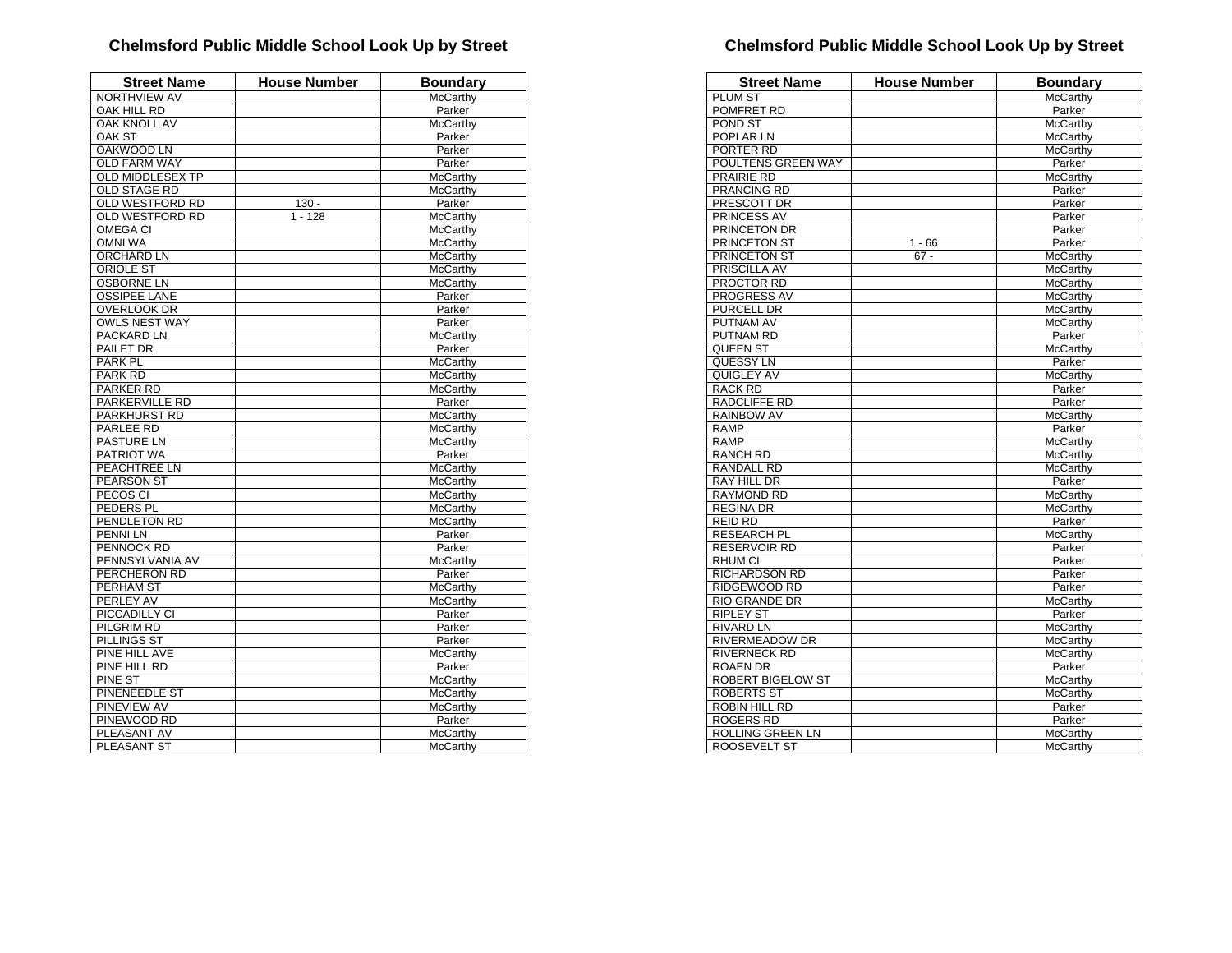| <b>Street Name</b>      | <b>House Number</b> | <b>Boundary</b> |
|-------------------------|---------------------|-----------------|
| NORTHVIEW AV            |                     | McCarthy        |
| OAK HILL RD             |                     | Parker          |
| <b>OAK KNOLL AV</b>     |                     | McCarthy        |
| OAK ST                  |                     | Parker          |
| <b>OAKWOOD LN</b>       |                     | Parker          |
| <b>OLD FARM WAY</b>     |                     | Parker          |
| <b>OLD MIDDLESEX TP</b> |                     | McCarthy        |
| <b>OLD STAGE RD</b>     |                     | <b>McCarthy</b> |
| <b>OLD WESTFORD RD</b>  | $130 -$             | Parker          |
| OLD WESTFORD RD         | $1 - 128$           | McCarthy        |
| OMEGA CI                |                     | McCarthy        |
| <b>OMNI WA</b>          |                     | McCarthy        |
| ORCHARD LN              |                     | <b>McCarthy</b> |
| <b>ORIOLE ST</b>        |                     | <b>McCarthy</b> |
| <b>OSBORNE LN</b>       |                     | McCarthy        |
| <b>OSSIPEE LANE</b>     |                     | Parker          |
| <b>OVERLOOK DR</b>      |                     | Parker          |
| <b>OWLS NEST WAY</b>    |                     | Parker          |
| PACKARD LN              |                     | <b>McCarthy</b> |
| PAILET DR               |                     | Parker          |
| PARK <sub>PL</sub>      |                     | McCarthy        |
| <b>PARK RD</b>          |                     | McCarthy        |
| <b>PARKER RD</b>        |                     | McCarthy        |
| <b>PARKERVILLE RD</b>   |                     | Parker          |
| PARKHURST RD            |                     | McCarthy        |
| <b>PARLEE RD</b>        |                     | <b>McCarthy</b> |
| PASTURE LN              |                     | McCarthy        |
| PATRIOT WA              |                     | Parker          |
| PEACHTREE LN            |                     | McCarthy        |
| <b>PEARSON ST</b>       |                     | McCarthy        |
| PECOS CI                |                     | McCarthy        |
| PEDERS PL               |                     | <b>McCarthy</b> |
| PENDLETON RD            |                     | McCarthy        |
| PENNI LN                |                     | Parker          |
| PENNOCK RD              |                     | Parker          |
| PENNSYLVANIA AV         |                     | McCarthy        |
| PERCHERON RD            |                     | Parker          |
| PERHAM ST               |                     | McCarthy        |
| PERLEY AV               |                     | <b>McCarthy</b> |
| PICCADILLY CI           |                     | Parker          |
| PILGRIM RD              |                     | Parker          |
| PILLINGS ST             |                     | Parker          |
| PINE HILL AVE           |                     | McCarthy        |
| PINE HILL RD            |                     | Parker          |
| PINE ST                 |                     | McCarthy        |
| PINENEEDLE ST           |                     | <b>McCarthy</b> |
| PINEVIEW AV             |                     | McCarthy        |
| PINEWOOD RD             |                     | Parker          |
| PLEASANT AV             |                     | McCarthy        |
| PLEASANT ST             |                     | McCarthy        |
|                         |                     |                 |

| <b>Street Name</b>      | <b>House Number</b> | <b>Boundary</b>      |
|-------------------------|---------------------|----------------------|
| <b>PLUM ST</b>          |                     | <b>McCarthv</b>      |
| POMFRET RD              |                     | Parker               |
| POND ST                 |                     | McCarthy             |
| POPLAR LN               |                     | McCarthy             |
| PORTER RD               |                     | McCarthy             |
| POULTENS GREEN WAY      |                     | Parker               |
| <b>PRAIRIE RD</b>       |                     | McCarthy             |
| PRANCING RD             |                     | Parker               |
| PRESCOTT DR             |                     | Parker               |
| PRINCESS AV             |                     | Parker               |
| PRINCETON DR            |                     | Parker               |
| <b>PRINCETON ST</b>     | $1 - 66$            | Parker               |
| PRINCETON ST            | $67 -$              | McCarthy             |
| PRISCILLA AV            |                     | McCarthy             |
| PROCTOR RD              |                     | McCarthy             |
| PROGRESS AV             |                     | McCarthy             |
| PURCELL DR              |                     | McCarthy             |
| PUTNAM AV               |                     | McCarthy             |
| PUTNAM RD               |                     | Parker               |
| <b>QUEEN ST</b>         |                     | McCarthy             |
| QUESSY LN               |                     | Parker               |
| QUIGLEY AV              |                     | McCarthy             |
| <b>RACK RD</b>          |                     | Parker               |
| RADCLIFFE RD            |                     | Parker               |
| RAINBOW AV              |                     | <b>McCarthy</b>      |
| <b>RAMP</b>             |                     | Parker               |
| <b>RAMP</b>             |                     | McCarthy             |
| <b>RANCH RD</b>         |                     | McCarthy             |
| RANDALL RD              |                     | McCarthy             |
| RAY HILL DR             |                     | Parker               |
| <b>RAYMOND RD</b>       |                     | McCarthy             |
| <b>REGINA DR</b>        |                     | McCarthy             |
| <b>REID RD</b>          |                     | Parker               |
| <b>RESEARCH PL</b>      |                     | McCarthy             |
| <b>RESERVOIR RD</b>     |                     | Parker               |
| RHUM CI                 |                     | Parker               |
| <b>RICHARDSON RD</b>    |                     | Parker               |
| RIDGEWOOD RD            |                     | Parker               |
| <b>RIO GRANDE DR</b>    |                     | McCarthy             |
| <b>RIPLEY ST</b>        |                     | Parker               |
| <b>RIVARD LN</b>        |                     | McCarthy             |
| RIVERMEADOW DR          |                     | McCarthy             |
| <b>RIVERNECK RD</b>     |                     | McCarthy             |
| <b>ROAEN DR</b>         |                     | Parker               |
| ROBERT BIGELOW ST       |                     | McCarthy             |
| ROBERTS ST              |                     | McCarthy             |
| ROBIN HILL RD           |                     | Parker               |
| <b>ROGERS RD</b>        |                     | Parker               |
| <b>ROLLING GREEN LN</b> |                     |                      |
| <b>ROOSEVELT ST</b>     |                     | McCarthy<br>McCarthy |
|                         |                     |                      |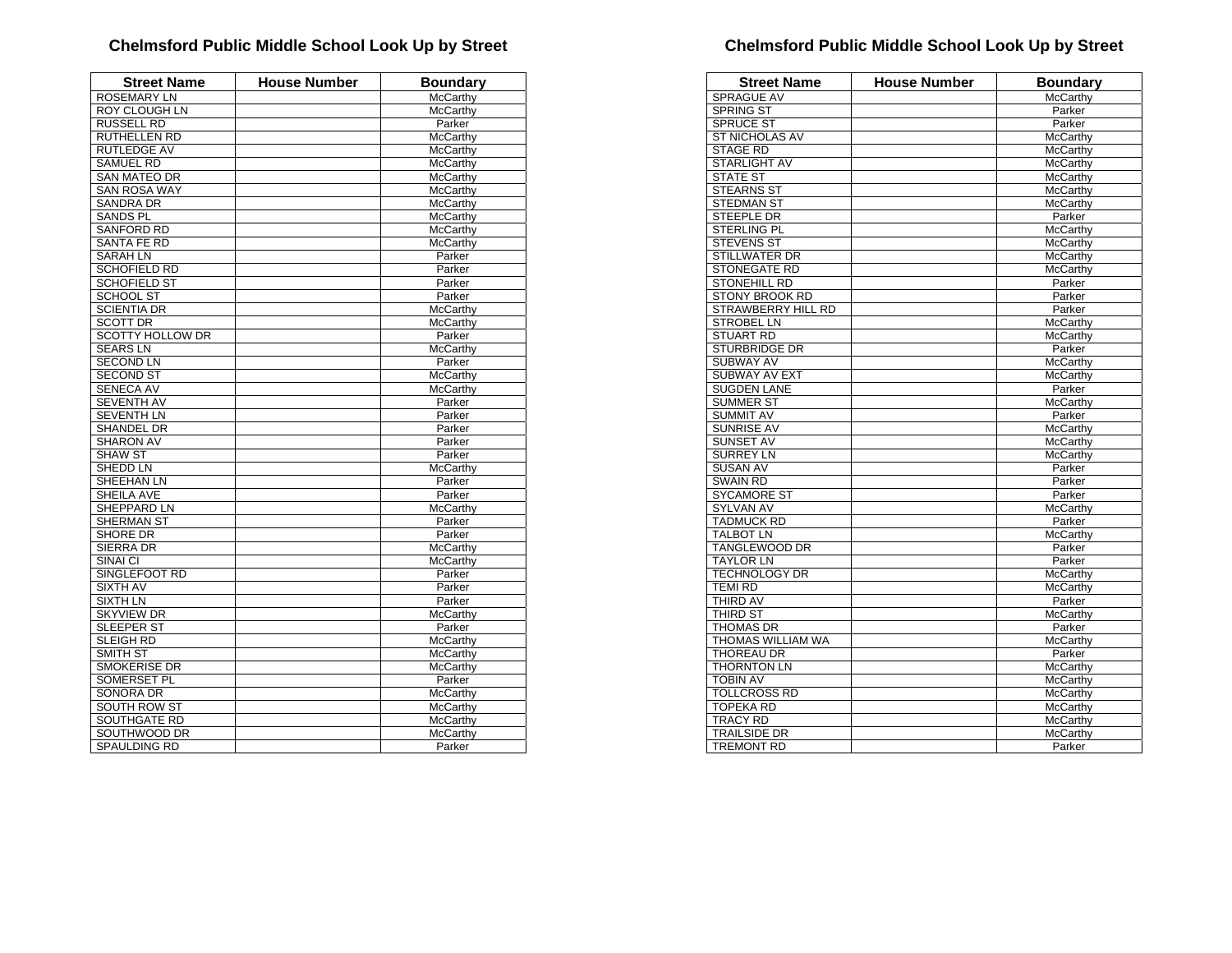| <b>Street Name</b>           | House Number | <b>Boundary</b> |
|------------------------------|--------------|-----------------|
| <b>ROSEMARY LN</b>           |              | McCarthy        |
| <b>ROY CLOUGH LN</b>         |              | McCarthy        |
| <b>RUSSELL RD</b>            |              | Parker          |
| RUTHELLEN RD                 |              | McCarthy        |
| <b>RUTLEDGE AV</b>           |              | McCarthy        |
| <b>SAMUEL RD</b>             |              | McCarthy        |
| <b>SAN MATEO DR</b>          |              | McCarthy        |
| <b>SAN ROSA WAY</b>          |              | <b>McCarthy</b> |
| <b>SANDRA DR</b>             |              | McCarthy        |
| <b>SANDS PL</b>              |              | McCarthy        |
| <b>SANFORD RD</b>            |              | McCarthy        |
| SANTA FE RD                  |              | McCarthy        |
| <b>SARAH LN</b>              |              | Parker          |
| <b>SCHOFIELD RD</b>          |              | Parker          |
| <b>SCHOFIELD ST</b>          |              | Parker          |
| <b>SCHOOL ST</b>             |              | Parker          |
| <b>SCIENTIA DR</b>           |              | McCarthy        |
| <b>SCOTT DR</b>              |              | McCarthy        |
| <b>SCOTTY HOLLOW DR</b>      |              | Parker          |
| <b>SEARS LN</b>              |              | McCarthy        |
| <b>SECOND LN</b>             |              | Parker          |
| <b>SECOND ST</b>             |              | McCarthy        |
| <b>SENECA AV</b>             |              | McCarthy        |
| <b>SEVENTH AV</b>            |              | Parker          |
| <b>SEVENTH LN</b>            |              | Parker          |
| SHANDEL DR                   |              | Parker          |
| <b>SHARON AV</b>             |              | Parker          |
| <b>SHAW ST</b>               |              | Parker          |
| SHEDD LN                     |              | <b>McCarthy</b> |
| SHEEHAN LN                   |              | Parker          |
| SHEILA AVE                   |              | Parker          |
| SHEPPARD LN                  |              | McCarthy        |
| <b>SHERMAN ST</b>            |              | Parker          |
| SHORE DR                     |              | Parker          |
| <b>SIERRA DR</b>             |              | McCarthy        |
| SINAI CI                     |              | McCarthy        |
| SINGLEFOOT RD                |              | Parker          |
| <b>SIXTH AV</b>              |              | Parker          |
| SIXTH LN                     |              | Parker          |
| <b>SKYVIEW DR</b>            |              | <b>McCarthy</b> |
| SLEEPER ST                   |              | Parker          |
| <b>SLEIGH RD</b>             |              | McCarthy        |
| SMITH ST                     |              | McCarthy        |
| <b>SMOKERISE DR</b>          |              | McCarthy        |
| SOMERSET PL                  |              | Parker          |
| <b>SONORA DR</b>             |              | McCarthy        |
| <b>SOUTH ROW ST</b>          |              |                 |
|                              |              | McCarthy        |
| SOUTHGATE RD<br>SOUTHWOOD DR |              | McCarthy        |
|                              |              | McCarthy        |
| SPAULDING RD                 |              | Parker          |

| <b>Street Name</b>       | <b>House Number</b> | <b>Boundary</b> |
|--------------------------|---------------------|-----------------|
| <b>SPRAGUE AV</b>        |                     | McCarthy        |
| <b>SPRING ST</b>         |                     | Parker          |
| <b>SPRUCE ST</b>         |                     | Parker          |
| <b>ST NICHOLAS AV</b>    |                     | <b>McCarthy</b> |
| <b>STAGE RD</b>          |                     | McCarthy        |
| <b>STARLIGHT AV</b>      |                     | McCarthy        |
| <b>STATE ST</b>          |                     | McCarthy        |
| <b>STEARNS ST</b>        |                     | McCarthy        |
| <b>STEDMAN ST</b>        |                     | McCarthy        |
| <b>STEEPLE DR</b>        |                     | Parker          |
| STERLING PL              |                     | McCarthy        |
| <b>STEVENS ST</b>        |                     | McCarthy        |
| <b>STILLWATER DR</b>     |                     | McCarthy        |
| <b>STONEGATE RD</b>      |                     | McCarthy        |
| <b>STONEHILL RD</b>      |                     | Parker          |
| <b>STONY BROOK RD</b>    |                     | Parker          |
| STRAWBERRY HILL RD       |                     | Parker          |
| <b>STROBEL LN</b>        |                     | McCarthy        |
| <b>STUART RD</b>         |                     | McCarthy        |
| <b>STURBRIDGE DR</b>     |                     | Parker          |
| <b>SUBWAY AV</b>         |                     | McCarthy        |
| <b>SUBWAY AV EXT</b>     |                     | McCarthy        |
| <b>SUGDEN LANE</b>       |                     | Parker          |
| <b>SUMMER ST</b>         |                     | McCarthy        |
| <b>SUMMIT AV</b>         |                     | Parker          |
| SUNRISE AV               |                     | McCarthy        |
| <b>SUNSET AV</b>         |                     | <b>McCarthy</b> |
| <b>SURREY LN</b>         |                     | McCarthy        |
| <b>SUSAN AV</b>          |                     | Parker          |
| <b>SWAIN RD</b>          |                     | Parker          |
| <b>SYCAMORE ST</b>       |                     | Parker          |
| SYLVAN AV                |                     | McCarthy        |
| <b>TADMUCK RD</b>        |                     | Parker          |
| <b>TALBOT LN</b>         |                     | McCarthy        |
| <b>TANGLEWOOD DR</b>     |                     | Parker          |
| <b>TAYLOR LN</b>         |                     | Parker          |
| <b>TECHNOLOGY DR</b>     |                     | McCarthy        |
| <b>TEMI RD</b>           |                     | McCarthy        |
| <b>THIRD AV</b>          |                     | Parker          |
| THIRD ST                 |                     | McCarthy        |
| <b>THOMAS DR</b>         |                     | Parker          |
| <b>THOMAS WILLIAM WA</b> |                     | McCarthy        |
| THOREAU DR               |                     | Parker          |
| <b>THORNTON LN</b>       |                     | <b>McCarthy</b> |
| <b>TOBIN AV</b>          |                     | McCarthy        |
| <b>TOLLCROSS RD</b>      |                     | <b>McCarthy</b> |
| <b>TOPEKA RD</b>         |                     |                 |
|                          |                     | McCarthy        |
| <b>TRACY RD</b>          |                     | McCarthy        |
| <b>TRAILSIDE DR</b>      |                     | McCarthy        |
| <b>TREMONT RD</b>        |                     | Parker          |